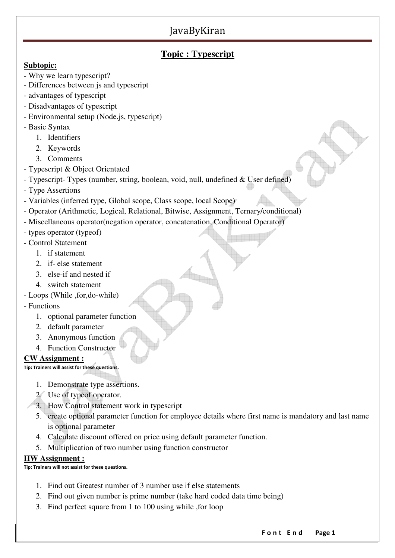### **Topic : Typescript**

### **Subtopic:**

- Why we learn typescript?
- Differences between js and typescript
- advantages of typescript
- Disadvantages of typescript
- Environmental setup (Node.js, typescript)
- Basic Syntax
	- 1. Identifiers
	- 2. Keywords
	- 3. Comments
- Typescript & Object Orientated
- Typescript- Types (number, string, boolean, void, null, undefined & User defined)
- Type Assertions
- Variables (inferred type, Global scope, Class scope, local Scope)
- Operator (Arithmetic, Logical, Relational, Bitwise, Assignment, Ternary/conditional)
- Miscellaneous operator(negation operator, concatenation, Conditional Operator)
- types operator (typeof)
- Control Statement
	- 1. if statement
	- 2. if- else statement
	- 3. else-if and nested if
	- 4. switch statement
- Loops (While ,for,do-while)
- Functions
	- 1. optional parameter function
	- 2. default parameter
	- 3. Anonymous function
	- 4. Function Constructor

### **CW Assignment :**

**Tip: Trainers will assist for these questions.**

- 1. Demonstrate type assertions.
- 2. Use of typeof operator.
- 3. How Control statement work in typescript
- 5. create optional parameter function for employee details where first name is mandatory and last name is optional parameter
- 4. Calculate discount offered on price using default parameter function.
- 5. Multiplication of two number using function constructor

### **HW Assignment :**

### **Tip: Trainers will not assist for these questions.**

- 1. Find out Greatest number of 3 number use if else statements
- 2. Find out given number is prime number (take hard coded data time being)
- 3. Find perfect square from 1 to 100 using while ,for loop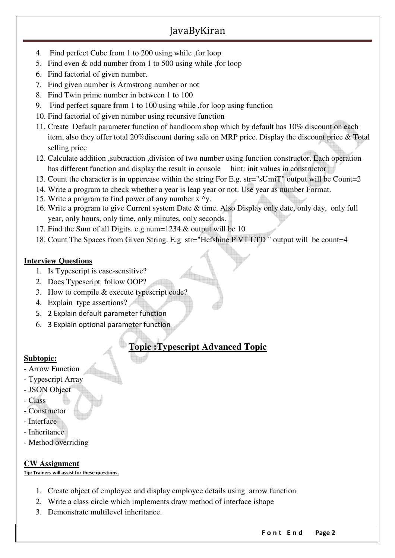- 4. Find perfect Cube from 1 to 200 using while ,for loop
- 5. Find even & odd number from 1 to 500 using while ,for loop
- 6. Find factorial of given number.
- 7. Find given number is Armstrong number or not
- 8. Find Twin prime number in between 1 to 100
- 9. Find perfect square from 1 to 100 using while ,for loop using function
- 10. Find factorial of given number using recursive function
- 11. Create Default parameter function of handloom shop which by default has 10% discount on each item, also they offer total 20%discount during sale on MRP price. Display the discount price & Total selling price
- 12. Calculate addition ,subtraction ,division of two number using function constructor. Each operation has different function and display the result in console hint: init values in constructor
- 13. Count the character is in uppercase within the string For E.g. str="sUmiT" output will be Count=2
- 14. Write a program to check whether a year is leap year or not. Use year as number Format.
- 15. Write a program to find power of any number  $x^2y$ .
- 16. Write a program to give Current system Date & time. Also Display only date, only day, only full year, only hours, only time, only minutes, only seconds.
- 17. Find the Sum of all Digits. e.g num=1234 & output will be 10
- 18. Count The Spaces from Given String. E.g str="Hefshine P VT LTD " output will be count=4

### **Interview Questions**

- 1. Is Typescript is case-sensitive?
- 2. Does Typescript follow OOP?
- 3. How to compile & execute typescript code?
- 4. Explain type assertions?
- 5. 2 Explain default parameter function
- 6. 3 Explain optional parameter function

# **Topic :Typescript Advanced Topic**

### **Subtopic:**

- Arrow Function
- Typescript Array
- JSON Object
- Class
- Constructor
- Interface
- Inheritance
- Method overriding

### **CW Assignment**

**Tip: Trainers will assist for these questions.**

- 1. Create object of employee and display employee details using arrow function
- 2. Write a class circle which implements draw method of interface ishape
- 3. Demonstrate multilevel inheritance.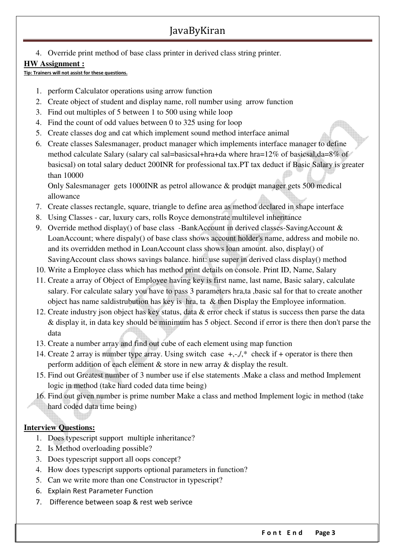4. Override print method of base class printer in derived class string printer.

### **HW Assignment :**

**Tip: Trainers will not assist for these questions.**

- 1. perform Calculator operations using arrow function
- 2. Create object of student and display name, roll number using arrow function
- 3. Find out multiples of 5 between 1 to 500 using while loop
- 4. Find the count of odd values between 0 to 325 using for loop
- 5. Create classes dog and cat which implement sound method interface animal
- 6. Create classes Salesmanager, product manager which implements interface manager to define method calculate Salary (salary cal sal=basicsal+hra+da where hra=12% of basicsal,da=8% of basicsal) on total salary deduct 200INR for professional tax.PT tax deduct if Basic Salary is greater than 10000

Only Salesmanager gets 1000INR as petrol allowance & product manager gets 500 medical allowance

- 7. Create classes rectangle, square, triangle to define area as method declared in shape interface
- 8. Using Classes car, luxury cars, rolls Royce demonstrate multilevel inheritance
- 9. Override method display() of base class -BankAccount in derived classes-SavingAccount & LoanAccount; where dispaly() of base class shows account holder's name, address and mobile no. and its overridden method in LoanAccount class shows loan amount. also, display() of SavingAccount class shows savings balance. hint: use super in derived class display() method
- 10. Write a Employee class which has method print details on console. Print ID, Name, Salary
- 11. Create a array of Object of Employee having key is first name, last name, Basic salary, calculate salary. For calculate salary you have to pass 3 parameters hra,ta ,basic sal for that to create another object has name saldistrubution has key is hra, ta & then Display the Employee information.
- 12. Create industry json object has key status, data & error check if status is success then parse the data & display it, in data key should be minimum has 5 object. Second if error is there then don't parse the data
- 13. Create a number array and find out cube of each element using map function
- 14. Create 2 array is number type array. Using switch case  $+, \frac{1}{2}$  check if + operator is there then perform addition of each element & store in new array & display the result.
- 15. Find out Greatest number of 3 number use if else statements .Make a class and method Implement logic in method (take hard coded data time being)
- 16. Find out given number is prime number Make a class and method Implement logic in method (take hard coded data time being)

### **Interview Questions:**

- 1. Does typescript support multiple inheritance?
- 2. Is Method overloading possible?
- 3. Does typescript support all oops concept?
- 4. How does typescript supports optional parameters in function?
- 5. Can we write more than one Constructor in typescript?
- 6. Explain Rest Parameter Function
- 7. Difference between soap & rest web serivce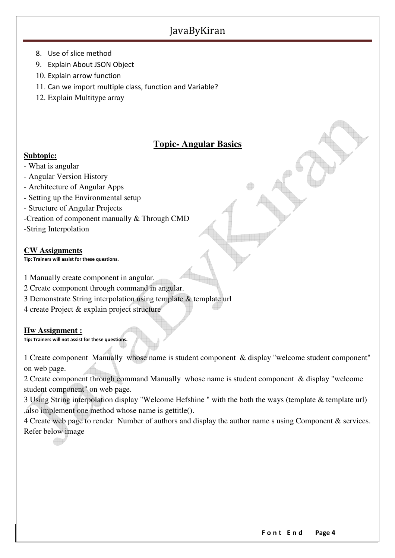- 8. Use of slice method
- 9. Explain About JSON Object
- 10. Explain arrow function
- 11. Can we import multiple class, function and Variable?
- 12. Explain Multitype array

# **Topic- Angular Basics**

### **Subtopic:**

- What is angular
- Angular Version History
- Architecture of Angular Apps
- Setting up the Environmental setup
- Structure of Angular Projects
- -Creation of component manually & Through CMD
- -String Interpolation

### **CW Assignments**

**Tip: Trainers will assist for these questions.**

- 1 Manually create component in angular.
- 2 Create component through command in angular.
- 3 Demonstrate String interpolation using template & template url
- 4 create Project & explain project structure

### **Hw Assignment :**

#### **Tip: Trainers will not assist for these questions.**

1 Create component Manually whose name is student component & display "welcome student component" on web page.

2 Create component through command Manually whose name is student component & display "welcome student component" on web page.

3 Using String interpolation display "Welcome Hefshine " with the both the ways (template & template url) ,also implement one method whose name is gettitle().

4 Create web page to render Number of authors and display the author name s using Component & services. Refer below image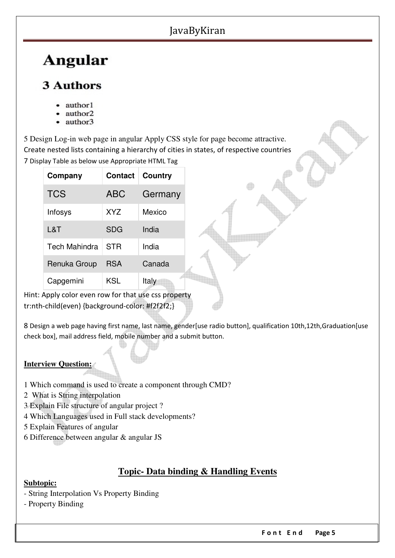# **Angular**

# **3 Authors**

- author1
- author2
- author3

5 Design Log-in web page in angular Apply CSS style for page become attractive. Create nested lists containing a hierarchy of cities in states, of respective countries 7 Display Table as below use Appropriate HTML Tag

| Company              | <b>Contact</b> | Country |
|----------------------|----------------|---------|
| <b>TCS</b>           | ABC            | Germany |
| Infosys              | <b>XYZ</b>     | Mexico  |
| L&T                  | <b>SDG</b>     | India   |
| <b>Tech Mahindra</b> | STR            | India   |
| Renuka Group         | <b>RSA</b>     | Canada  |
| Capgemini            | KSL            | Italy   |

Hint: Apply color even row for that use css property tr:nth-child(even) {background-color: #f2f2f2;}

8 Design a web page having first name, last name, gender [use radio button], qualification 10th,12th,Graduation [use check box], mail address field, mobile number and a submit button.

### **Interview Question:**

- 1 Which command is used to create a component through CMD?
- 2 What is String interpolation
- 3 Explain File structure of angular project ?
- 4 Which Languages used in Full stack developments?
- 5 Explain Features of angular
- 6 Difference between angular & angular JS

# **Topic- Data binding & Handling Events**

### **Subtopic:**

- String Interpolation Vs Property Binding
- Property Binding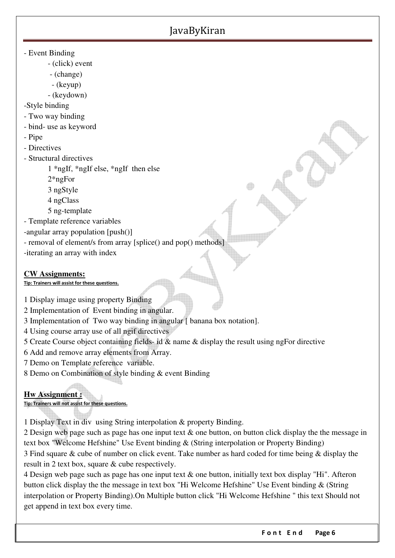- Event Binding
	- (click) event
	- (change)
	- (keyup)
	- (keydown)

-Style binding

- Two way binding
- bind- use as keyword
- Pipe
- Directives
- Structural directives
	- 1 \*ngIf, \*ngIf else, \*ngIf then else
	- 2\*ngFor
	- 3 ngStyle
	- 4 ngClass
	- 5 ng-template

- Template reference variables

- -angular array population [push()]
- removal of element/s from array [splice() and pop() methods]
- -iterating an array with index

### **CW Assignments:**

### **Tip: Trainers will assist for these questions.**

1 Display image using property Binding

- 2 Implementation of Event binding in angular.
- 3 Implementation of Two way binding in angular [ banana box notation].
- 4 Using course array use of all ngif directives
- 5 Create Course object containing fields- id & name & display the result using ngFor directive
- 6 Add and remove array elements from Array.
- 7 Demo on Template reference variable.
- 8 Demo on Combination of style binding & event Binding

### **Hw Assignment :**

**Tip: Trainers will not assist for these questions.**

1 Display Text in div using String interpolation & property Binding.

2 Design web page such as page has one input text & one button, on button click display the the message in text box "Welcome Hefshine" Use Event binding & (String interpolation or Property Binding) 3 Find square & cube of number on click event. Take number as hard coded for time being & display the result in 2 text box, square & cube respectively.

4 Design web page such as page has one input text & one button, initially text box display "Hi". Afteron button click display the the message in text box "Hi Welcome Hefshine" Use Event binding & (String interpolation or Property Binding).On Multiple button click "Hi Welcome Hefshine " this text Should not get append in text box every time.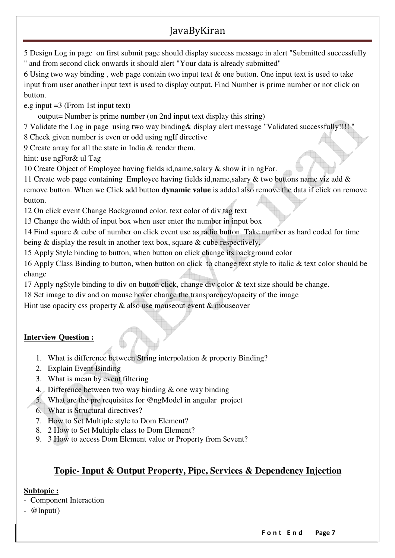5 Design Log in page on first submit page should display success message in alert "Submitted successfully " and from second click onwards it should alert "Your data is already submitted"

6 Using two way binding , web page contain two input text & one button. One input text is used to take input from user another input text is used to display output. Find Number is prime number or not click on button.

e.g input =3 (From 1st input text)

output= Number is prime number (on 2nd input text display this string)

7 Validate the Log in page using two way binding& display alert message "Validated successfully!!!! "

8 Check given number is even or odd using ngIf directive

9 Create array for all the state in India & render them.

hint: use ngFor& ul Tag

10 Create Object of Employee having fields id,name,salary & show it in ngFor.

11 Create web page containing Employee having fields id,name,salary & two buttons name viz add & remove button. When we Click add button **dynamic value** is added also remove the data if click on remove button.

12 On click event Change Background color, text color of div tag text

13 Change the width of input box when user enter the number in input box

14 Find square & cube of number on click event use as radio button. Take number as hard coded for time being & display the result in another text box, square & cube respectively.

15 Apply Style binding to button, when button on click change its background color

16 Apply Class Binding to button, when button on click to change text style to italic & text color should be change

17 Apply ngStyle binding to div on button click, change div color & text size should be change.

18 Set image to div and on mouse hover change the transparency/opacity of the image

Hint use opacity css property  $\&$  also use mouseout event  $\&$  mouseover

### **Interview Question :**

- 1. What is difference between String interpolation & property Binding?
- 2. Explain Event Binding
- 3. What is mean by event filtering
- 4. Difference between two way binding & one way binding
- 5. What are the pre requisites for @ngModel in angular project
- 6. What is Structural directives?
- 7. How to Set Multiple style to Dom Element?
- 8. 2 How to Set Multiple class to Dom Element?
- 9. 3 How to access Dom Element value or Property from \$event?

# **Topic- Input & Output Property, Pipe, Services & Dependency Injection**

### **Subtopic :**

- Component Interaction
- @Input()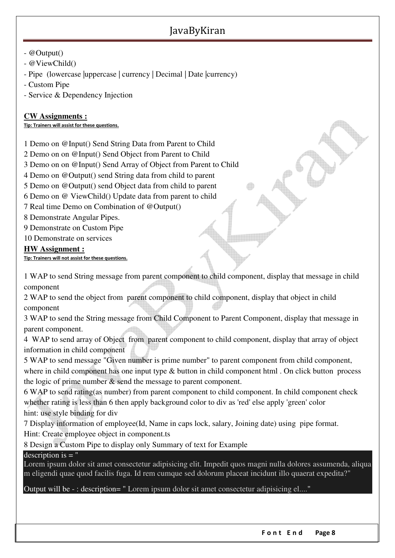### - @Output()

- @ViewChild()
- Pipe (lowercase |uppercase | currency | Decimal | Date |currency)
- Custom Pipe

- Service & Dependency Injection

#### **CW Assignments :**

**Tip: Trainers will assist for these questions.**

1 Demo on @Input() Send String Data from Parent to Child

2 Demo on on @Input() Send Object from Parent to Child

3 Demo on on @Input() Send Array of Object from Parent to Child

4 Demo on @Output() send String data from child to parent

5 Demo on @Output() send Object data from child to parent

6 Demo on @ ViewChild() Update data from parent to child

7 Real time Demo on Combination of @Output()

8 Demonstrate Angular Pipes.

9 Demonstrate on Custom Pipe

10 Demonstrate on services

#### **HW Assignment :**

**Tip: Trainers will not assist for these questions.**

1 WAP to send String message from parent component to child component, display that message in child component

2 WAP to send the object from parent component to child component, display that object in child component

3 WAP to send the String message from Child Component to Parent Component, display that message in parent component.

4 WAP to send array of Object from parent component to child component, display that array of object information in child component

5 WAP to send message "Given number is prime number" to parent component from child component, where in child component has one input type & button in child component html . On click button process

the logic of prime number & send the message to parent component.

6 WAP to send rating(as number) from parent component to child component. In child component check whether rating is less than 6 then apply background color to div as 'red' else apply 'green' color hint: use style binding for div

7 Display information of employee(Id, Name in caps lock, salary, Joining date) using pipe format. Hint: Create employee object in component.ts

8 Design a Custom Pipe to display only Summary of text for Example

### description is  $=$  "

Lorem ipsum dolor sit amet consectetur adipisicing elit. Impedit quos magni nulla dolores assumenda, aliqua m eligendi quae quod facilis fuga. Id rem cumque sed dolorum placeat incidunt illo quaerat expedita?"

Output will be - : description= " Lorem ipsum dolor sit amet consectetur adipisicing el...."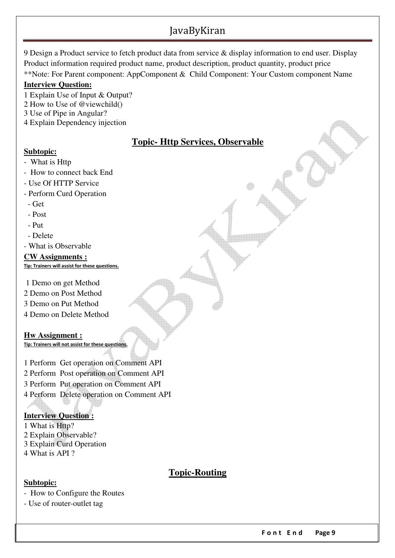9 Design a Product service to fetch product data from service & display information to end user. Display Product information required product name, product description, product quantity, product price \*\*Note: For Parent component: AppComponent & Child Component: Your Custom component Name

#### **Interview Question:**

1 Explain Use of Input & Output?

- 2 How to Use of @viewchild()
- 3 Use of Pipe in Angular?
- 4 Explain Dependency injection

# **Topic- Http Services, Observable**

### **Subtopic:**

- What is Http
- How to connect back End
- Use Of HTTP Service
- Perform Curd Operation
- Get
- Post
- Put
- Delete
- What is Observable
- **CW Assignments : Tip: Trainers will assist for these questions.**
- 1 Demo on get Method
- 2 Demo on Post Method
- 3 Demo on Put Method
- 4 Demo on Delete Method

**Hw Assignment :**

**Tip: Trainers will not assist for these questions.**

1 Perform Get operation on Comment API

- 2 Perform Post operation on Comment API
- 3 Perform Put operation on Comment API
- 4 Perform Delete operation on Comment API

### **Interview Question :**

1 What is Http? 2 Explain Observable?

- 3 Explain Curd Operation
- 4 What is API ?

# **Topic-Routing**

### **Subtopic:**

- How to Configure the Routes

- Use of router-outlet tag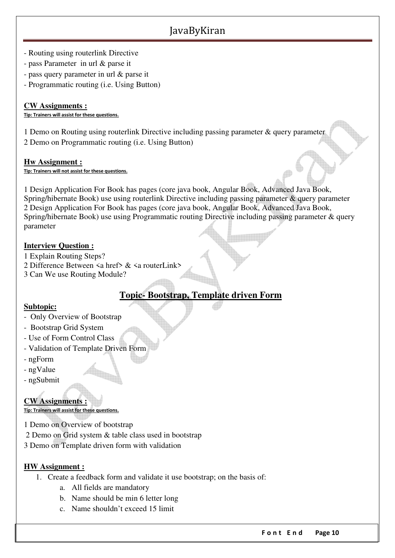- Routing using routerlink Directive
- pass Parameter in url & parse it
- pass query parameter in url & parse it
- Programmatic routing (i.e. Using Button)

#### **CW Assignments :**

**Tip: Trainers will assist for these questions.**

1 Demo on Routing using routerlink Directive including passing parameter & query parameter 2 Demo on Programmatic routing (i.e. Using Button)

#### **Hw Assignment :**

**Tip: Trainers will not assist for these questions.**

1 Design Application For Book has pages (core java book, Angular Book, Advanced Java Book, Spring/hibernate Book) use using routerlink Directive including passing parameter & query parameter 2 Design Application For Book has pages (core java book, Angular Book, Advanced Java Book, Spring/hibernate Book) use using Programmatic routing Directive including passing parameter & query parameter

### **Interview Question :**

1 Explain Routing Steps?

- 2 Difference Between <a href> & <a routerLink>
- 3 Can We use Routing Module?

# **Topic- Bootstrap, Template driven Form**

### **Subtopic:**

- Only Overview of Bootstrap
- Bootstrap Grid System
- Use of Form Control Class
- Validation of Template Driven Form
- ngForm
- ngValue
- ngSubmit

### **CW Assignments :**

**Tip: Trainers will assist for these questions.**

1 Demo on Overview of bootstrap

2 Demo on Grid system & table class used in bootstrap

3 Demo on Template driven form with validation

### **HW Assignment :**

- 1. Create a feedback form and validate it use bootstrap; on the basis of:
	- a. All fields are mandatory
	- b. Name should be min 6 letter long
	- c. Name shouldn't exceed 15 limit